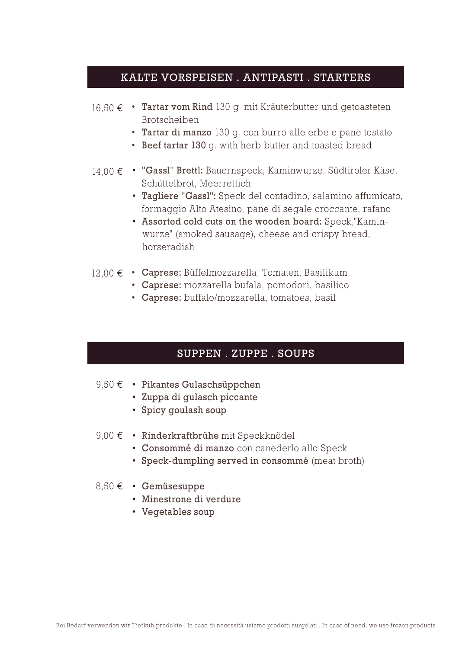## KALTE VORSPEISEN . ANTIPASTI . STARTERS

- 16,50 € Tartar vom Rind 130 g. mit Kräuterbutter und getoasteten Brotscheiben
	- Tartar di manzo 130 g. con burro alle erbe e pane tostato
	- Beef tartar 130 g. with herb butter and toasted bread
- "Gassl" Brettl: Bauernspeck, Kaminwurze, Südtiroler Käse, 14,00 € Schüttelbrot, Meerrettich
	- Tagliere "Gassl": Speck del contadino, salamino affumicato, formaggio Alto Atesino, pane di segale croccante, rafano
	- Assorted cold cuts on the wooden board: Speck,"Kamin wurze" (smoked sausage), cheese and crispy bread, horseradish
- 12,00 € Caprese: Büffelmozzarella, Tomaten, Basilikum
	- Caprese: mozzarella bufala, pomodori, basilico
	- Caprese: buffalo/mozzarella, tomatoes, basil

# SUPPEN . ZUPPE . SOUPS

- 9,50 € Pikantes Gulaschsüppchen
	- Zuppa di gulasch piccante
	- Spicy goulash soup
- 9,00 € Rinderkraftbrühe mit Speckknödel
	- Consommé di manzo con canederlo allo Speck
	- Speck-dumpling served in consommé (meat broth)
- 8,50 € · Gemüsesuppe
	- Minestrone di verdure
	- Vegetables soup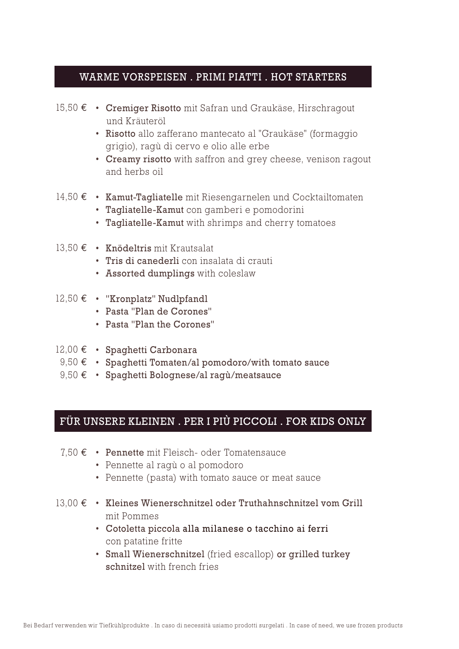### WARME VORSPEISEN . PRIMI PIATTI . HOT STARTERS

- 15,50 € Cremiger Risotto mit Safran und Graukäse, Hirschragout und Kräuteröl
	- Risotto allo zafferano mantecato al "Graukäse" (formaggio grigio), ragù di cervo e olio alle erbe
	- Creamy risotto with saffron and grey cheese, venison ragout and herbs oil
- 14,50 € Kamut-Tagliatelle mit Riesengarnelen und Cocktailtomaten
	- Tagliatelle-Kamut con gamberi e pomodorini
	- Tagliatelle-Kamut with shrimps and cherry tomatoes
- 13,50 € Knödeltris mit Krautsalat
	- Tris di canederli con insalata di crauti
	- Assorted dumplings with coleslaw
- 12,50 € · "Kronplatz" Nudlpfandl
	- Pasta "Plan de Corones"
	- Pasta "Plan the Corones"
- 12,00 € · Spaghetti Carbonara
- 9,50  $\epsilon$  Spaghetti Tomaten/al pomodoro/with tomato sauce
- Spaghetti Bolognese/al ragù/meatsauce 9,50 €

# FÜR UNSERE KLEINEN . PER I PIÙ PICCOLI . FOR KIDS ONLY

- 7,50 € Pennette mit Fleisch- oder Tomatensauce
	- Pennette al ragù o al pomodoro
	- Pennette (pasta) with tomato sauce or meat sauce
- 13,00 € Kleines Wienerschnitzel oder Truthahnschnitzel vom Grill mit Pommes
	- Cotoletta piccola alla milanese o tacchino ai ferri con patatine fritte
	- Small Wienerschnitzel (fried escallop) or grilled turkey schnitzel with french fries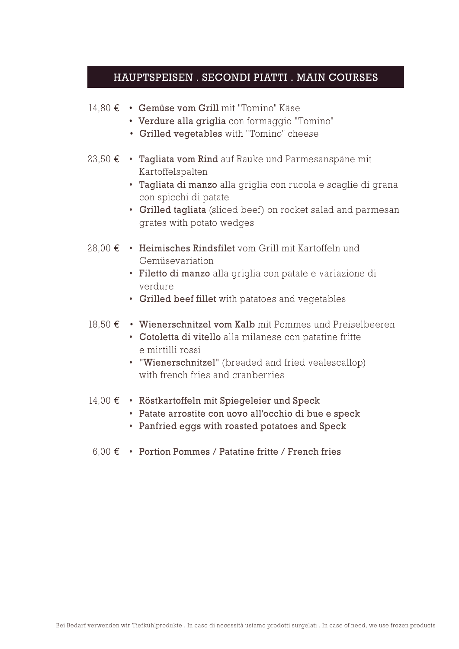#### HAUPTSPEISEN . SECONDI PIATTI . MAIN COURSES

- Gemüse vom Grill mit "Tomino" Käse 14,80 €
	- Verdure alla griglia con formaggio "Tomino"
	- Grilled vegetables with "Tomino" cheese
- 23,50 € Tagliata vom Rind auf Rauke und Parmesanspäne mit Kartoffelspalten
	- Tagliata di manzo alla griglia con rucola e scaglie di grana con spicchi di patate
	- Grilled tagliata (sliced beef) on rocket salad and parmesan grates with potato wedges
- 28,00 € Heimisches Rindsfilet vom Grill mit Kartoffeln und Gemüsevariation
	- Filetto di manzo alla griglia con patate e variazione di verdure
	- Grilled beef fillet with patatoes and vegetables
- 18,50 € Wienerschnitzel vom Kalb mit Pommes und Preiselbeeren
	- Cotoletta di vitello alla milanese con patatine fritte e mirtilli rossi
	- "Wienerschnitzel" (breaded and fried vealescallop) with french fries and cranberries
- 14,00 € Röstkartoffeln mit Spiegeleier und Speck
	- Patate arrostite con uovo all'occhio di bue e speck
	- Panfried eggs with roasted potatoes and Speck
	- 6,00  $\epsilon$  Portion Pommes / Patatine fritte / French fries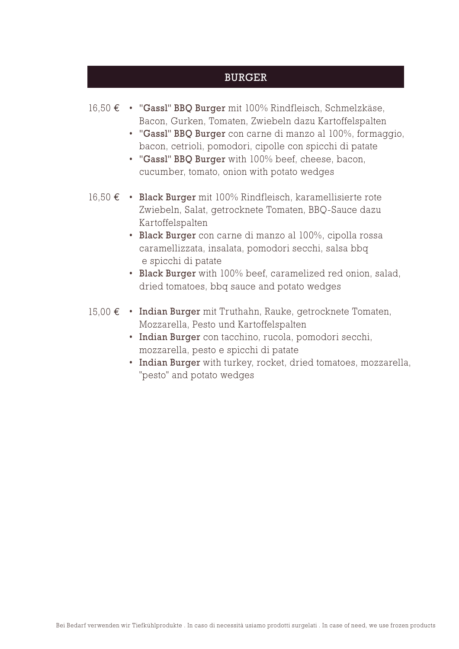#### BURGER

- "Gassl" BBQ Burger mit 100% Rindfleisch, Schmelzkäse, 16,50 € Bacon, Gurken, Tomaten, Zwiebeln dazu Kartoffelspalten
	- "Gassl" BBQ Burger con carne di manzo al 100%, formaggio, bacon, cetrioli, pomodori, cipolle con spicchi di patate
	- "Gassl" BBQ Burger with 100% beef, cheese, bacon, cucumber, tomato, onion with potato wedges
- Black Burger mit 100% Rindfleisch, karamellisierte rote 16,50 € Zwiebeln, Salat, getrocknete Tomaten, BBQ-Sauce dazu Kartoffelspalten
	- Black Burger con carne di manzo al 100%, cipolla rossa caramellizzata, insalata, pomodori secchi, salsa bbq e spicchi di patate
	- Black Burger with 100% beef, caramelized red onion, salad, dried tomatoes, bbq sauce and potato wedges
- 15,00 € Indian Burger mit Truthahn, Rauke, getrocknete Tomaten, Mozzarella, Pesto und Kartoffelspalten
	- Indian Burger con tacchino, rucola, pomodori secchi, mozzarella, pesto e spicchi di patate
	- Indian Burger with turkey, rocket, dried tomatoes, mozzarella, "pesto" and potato wedges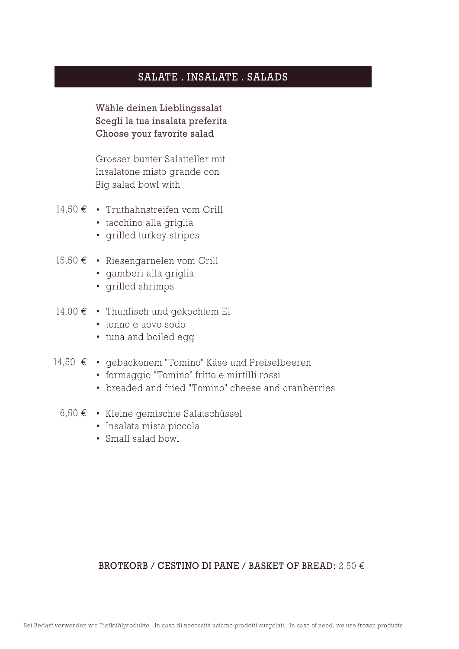#### SALATE . INSALATE . SALADS

Wähle deinen Lieblingssalat Scegli la tua insalata preferita Choose your favorite salad

Grosser bunter Salatteller mit Insalatone misto grande con Big salad bowl with

- Truthahnstreifen vom Grill 14,50 €
	- tacchino alla griglia
	- grilled turkey stripes
- Riesengarnelen vom Grill 15,50 €
	- gamberi alla griglia
	- grilled shrimps
- 14,00 € Thunfisch und gekochtem Ei
	- tonno e uovo sodo
	- tuna and boiled egg
- gebackenem "Tomino" Käse und Preiselbeeren 14,50 €
	- formaggio "Tomino" fritto e mirtilli rossi
	- breaded and fried "Tomino" cheese and cranberries
	- 6,50 € Kleine gemischte Salatschüssel
		- Insalata mista piccola
		- Small salad bowl

#### BROTKORB / CESTINO DI PANE / BASKET OF BREAD:  $2.50 \in$